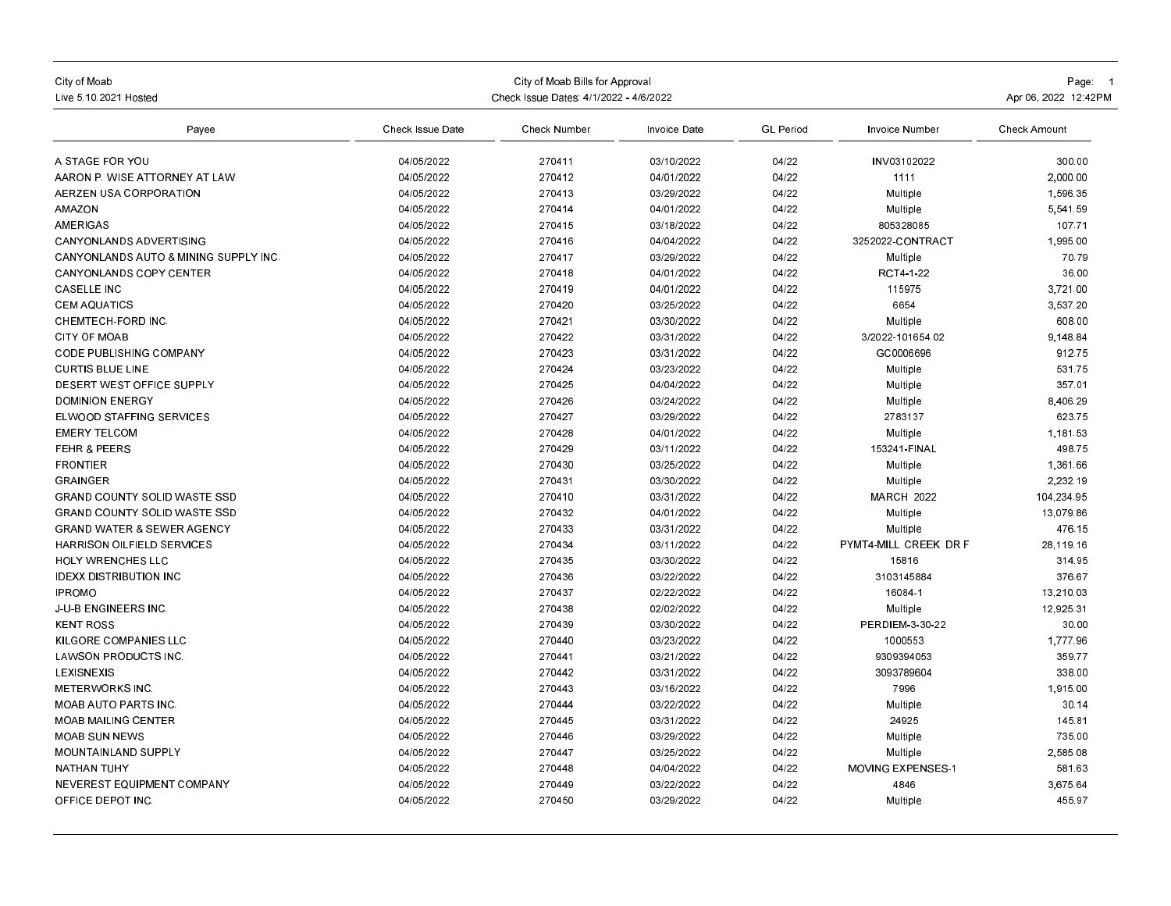| City of Moab<br>Live 5, 10, 2021 Hosted          | Check Issue Dates: 4/1/2022 - 4/6/2022 | Page: 1<br>Apr 06, 2022 12:42PM |              |                  |                          |                     |
|--------------------------------------------------|----------------------------------------|---------------------------------|--------------|------------------|--------------------------|---------------------|
| Payee                                            | Check Issue Date                       | Check Number                    | Invoice Date | <b>GL Period</b> | Invoice Number           | <b>Check Amount</b> |
| A STAGE FOR YOU                                  | 04/05/2022                             | 270411                          | 03/10/2022   | 04/22            | INV03102022              | 300.00              |
| AARON P. WISE ATTORNEY AT LAW                    | 04/05/2022                             | 270412                          | 04/01/2022   | 04/22            | 1111                     | 2,000.00            |
| AERZEN USA CORPORATION                           | 04/05/2022                             | 270413                          | 03/29/2022   | 04/22            | Multiple                 | 1,596.35            |
| <b>AMAZON</b>                                    | 04/05/2022                             | 270414                          | 04/01/2022   | 04/22            | Multiple                 | 5,541.59            |
| AMERIGAS                                         | 04/05/2022                             | 270415                          | 03/18/2022   | 04/22            | 805328085                | 107.71              |
| <b>CANYONLANDS ADVERTISING</b>                   | 04/05/2022                             | 270416                          | 04/04/2022   | 04/22            | 3252022-CONTRACT         | 1,995.00            |
| <b>CANYONLANDS AUTO &amp; MINING SUPPLY INC.</b> | 04/05/2022                             | 270417                          | 03/29/2022   | 04/22            | Multiple                 | 70.79               |
| <b>CANYONLANDS COPY CENTER</b>                   | 04/05/2022                             | 270418                          | 04/01/2022   | 04/22            | RCT4-1-22                | 36.00               |
| <b>CASELLE INC</b>                               | 04/05/2022                             | 270419                          | 04/01/2022   | 04/22            | 115975                   | 3.721.00            |
| <b>CEM AQUATICS</b>                              | 04/05/2022                             | 270420                          | 03/25/2022   | 04/22            | 6654                     | 3,537.20            |
| CHEMTECH-FORD INC                                | 04/05/2022                             | 270421                          | 03/30/2022   | 04/22            | Multiple                 | 608.00              |
| <b>CITY OF MOAB</b>                              | 04/05/2022                             | 270422                          | 03/31/2022   | 04/22            | 3/2022-101654.02         | 9.148.84            |
| <b>CODE PUBLISHING COMPANY</b>                   | 04/05/2022                             | 270423                          | 03/31/2022   | 04/22            | GC0006696                | 912.75              |
| <b>CURTIS BLUE LINE</b>                          | 04/05/2022                             | 270424                          | 03/23/2022   | 04/22            | Multiple                 | 531.75              |
| DESERT WEST OFFICE SUPPLY                        | 04/05/2022                             | 270425                          | 04/04/2022   | 04/22            |                          | 357.01              |
|                                                  | 04/05/2022                             | 270426                          | 03/24/2022   |                  | Multiple                 |                     |
| <b>DOMINION ENERGY</b>                           |                                        |                                 |              | 04/22            | Multiple                 | 8,406.29            |
| ELWOOD STAFFING SERVICES                         | 04/05/2022                             | 270427                          | 03/29/2022   | 04/22            | 2783137                  | 623.75              |
| <b>EMERY TELCOM</b>                              | 04/05/2022                             | 270428                          | 04/01/2022   | 04/22            | Multiple                 | 1,181.53            |
| <b>FEHR &amp; PEERS</b>                          | 04/05/2022                             | 270429                          | 03/11/2022   | 04/22            | 153241-FINAL             | 498.75              |
| <b>FRONTIER</b>                                  | 04/05/2022                             | 270430                          | 03/25/2022   | 04/22            | Multiple                 | 1,361.66            |
| <b>GRAINGER</b>                                  | 04/05/2022                             | 270431                          | 03/30/2022   | 04/22            | Multiple                 | 2.232.19            |
| <b>GRAND COUNTY SOLID WASTE SSD</b>              | 04/05/2022                             | 270410                          | 03/31/2022   | 04/22            | <b>MARCH 2022</b>        | 104.234.95          |
| <b>GRAND COUNTY SOLID WASTE SSD</b>              | 04/05/2022                             | 270432                          | 04/01/2022   | 04/22            | Multiple                 | 13.079.86           |
| <b>GRAND WATER &amp; SEWER AGENCY</b>            | 04/05/2022                             | 270433                          | 03/31/2022   | 04/22            | Multiple                 | 476.15              |
| HARRISON OILFIELD SERVICES                       | 04/05/2022                             | 270434                          | 03/11/2022   | 04/22            | PYMT4-MILL CREEK DR F    | 28,119.16           |
| <b>HOLY WRENCHES LLC</b>                         | 04/05/2022                             | 270435                          | 03/30/2022   | 04/22            | 15816                    | 314.95              |
| <b>IDEXX DISTRIBUTION INC</b>                    | 04/05/2022                             | 270436                          | 03/22/2022   | 04/22            | 3103145884               | 376.67              |
| <b>IPROMO</b>                                    | 04/05/2022                             | 270437                          | 02/22/2022   | 04/22            | 16084-1                  | 13.210.03           |
| <b>J-U-B ENGINEERS INC</b>                       | 04/05/2022                             | 270438                          | 02/02/2022   | 04/22            | Multiple                 | 12,925.31           |
| <b>KENT ROSS</b>                                 | 04/05/2022                             | 270439                          | 03/30/2022   | 04/22            | PERDIEM-3-30-22          | 30.00               |
| KILGORE COMPANIES LLC                            | 04/05/2022                             | 270440                          | 03/23/2022   | 04/22            | 1000553                  | 1,777.96            |
| <b>LAWSON PRODUCTS INC</b>                       | 04/05/2022                             | 270441                          | 03/21/2022   | 04/22            | 9309394053               | 359.77              |
| LEXISNEXIS                                       | 04/05/2022                             | 270442                          | 03/31/2022   | 04/22            | 3093789604               | 338.00              |
| <b>METERWORKS INC.</b>                           | 04/05/2022                             | 270443                          | 03/16/2022   | 04/22            | 7996                     | 1.915.00            |
| <b>MOAB AUTO PARTS INC.</b>                      | 04/05/2022                             | 270444                          | 03/22/2022   | 04/22            | Multiple                 | 30.14               |
| <b>MOAB MAILING CENTER</b>                       | 04/05/2022                             | 270445                          | 03/31/2022   | 04/22            | 24925                    | 145.81              |
| <b>MOAB SUN NEWS</b>                             | 04/05/2022                             | 270446                          | 03/29/2022   | 04/22            | Multiple                 | 735.00              |
| MOUNTAINLAND SUPPLY                              | 04/05/2022                             | 270447                          | 03/25/2022   | 04/22            | Multiple                 | 2,585.08            |
| <b>NATHAN TUHY</b>                               | 04/05/2022                             | 270448                          | 04/04/2022   | 04/22            | <b>MOVING EXPENSES-1</b> | 581.63              |
| NEVEREST EQUIPMENT COMPANY                       | 04/05/2022                             | 270449                          | 03/22/2022   | 04/22            | 4846                     | 3.675.64            |
| OFFICE DEPOT INC.                                | 04/05/2022                             | 270450                          | 03/29/2022   | 04/22            | Multiple                 | 455.97              |